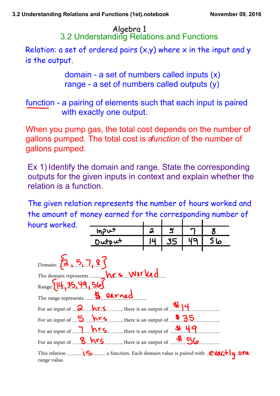3.2 Understanding Relations and Functions Algebra 1

Relation: a set of ordered pairs  $(x,y)$  where x in the input and y is the output.

> domain - a set of numbers called inputs  $(x)$ range  $-$  a set of numbers called outputs  $(v)$

function - a pairing of elements such that each input is paired with exactly one output.

When you pump gas, the total cost depends on the number of gallons pumped. The total cost is *a function* of the number of gallons pumped.

Ex 1) Identify the domain and range. State the corresponding outputs for the given inputs in context and explain whether the relation is a function.

The given relation represents the number of hours worked and the amount of money earned for the corresponding number of hours worked.

| JUI J WVI INJU.                          | Input                                                                                  | 2  | 5  |    | ర్   |  |
|------------------------------------------|----------------------------------------------------------------------------------------|----|----|----|------|--|
|                                          | $D$ utput                                                                              | J4 | 35 | 49 | ما 5 |  |
|                                          |                                                                                        |    |    |    |      |  |
| Domain: $\{2, 5, 7, 8\}$                 |                                                                                        |    |    |    |      |  |
|                                          |                                                                                        |    |    |    |      |  |
|                                          | The domain represents hrs WITKed                                                       |    |    |    |      |  |
| The range represents <b>&amp; earned</b> |                                                                                        |    |    |    |      |  |
|                                          | For an input of $\frac{2}{\sqrt{5}}$ hr 5 , there is an output of $\frac{1}{\sqrt{5}}$ |    |    |    |      |  |
| For an input of $\frac{5}{2}$ hrs        | $\frac{4}{35}$ , there is an output of $\frac{4}{35}$                                  |    |    |    |      |  |
|                                          | For an input of $\n  nrs\n  , there is an output of 49$                                |    |    |    |      |  |
| For an input of 8 hrs                    | $\rightarrow$ , there is an output of $\frac{\mathfrak{A}}{\mathfrak{S}}$              |    |    |    |      |  |
| This relation ______<br>range value.     | 15 a function. Each domain value is paired with exactly one                            |    |    |    |      |  |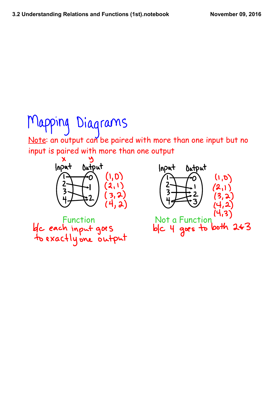# Mapping Diagrams

Note: an output can be paired with more than one input but no input is paired with more than one output



Function Not a Function<br>Le cach input goes blc 4 goes to both 263<br>to exactly one output

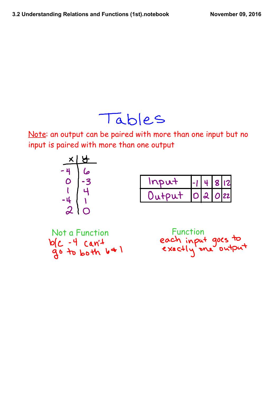### Tables

Note: an output can be paired with more than one input but no input is paired with more than one output

| ✕                          | <b>J</b> |
|----------------------------|----------|
| 4                          | صا       |
|                            | 3        |
|                            | ⊣        |
| $\blacksquare$<br>4        |          |
| $\boldsymbol{\mathcal{U}}$ |          |

| Inout  | $  -     +   8     2  $ |  |
|--------|-------------------------|--|
| Output | 02022                   |  |

| Not a Function   |  |  |
|------------------|--|--|
| $b(c - 4 can 4)$ |  |  |
| go to both 641   |  |  |

Function<br>each input goes to<br>exactly one output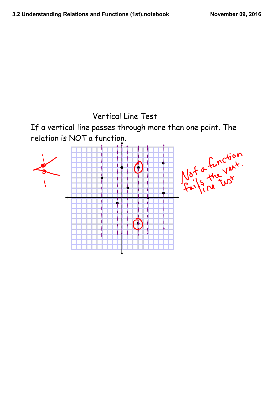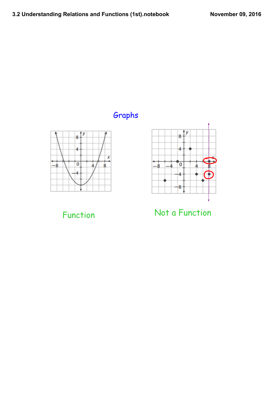### Graphs





Function Not a Function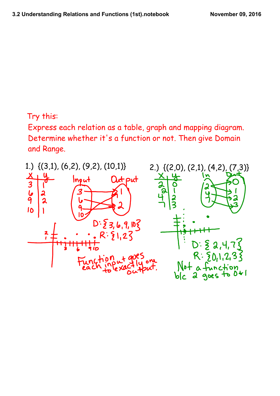#### Try this:

Express each relation as a table, graph and mapping diagram. Determine whether it's a function or not. Then give Domain and Range.